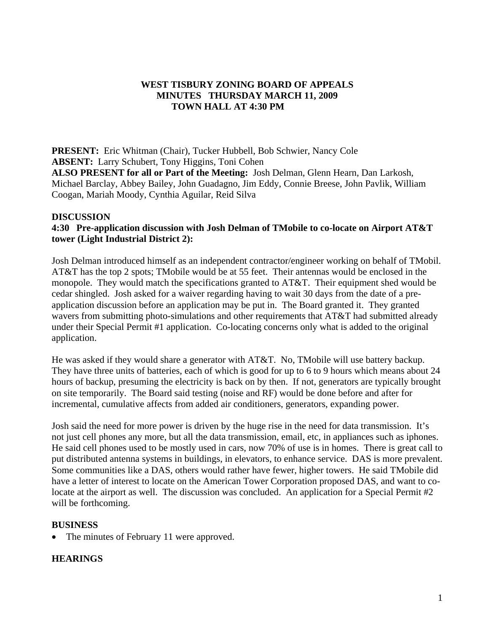# **WEST TISBURY ZONING BOARD OF APPEALS MINUTES THURSDAY MARCH 11, 2009 TOWN HALL AT 4:30 PM**

**PRESENT:** Eric Whitman (Chair), Tucker Hubbell, Bob Schwier, Nancy Cole **ABSENT:** Larry Schubert, Tony Higgins, Toni Cohen **ALSO PRESENT for all or Part of the Meeting:** Josh Delman, Glenn Hearn, Dan Larkosh, Michael Barclay, Abbey Bailey, John Guadagno, Jim Eddy, Connie Breese, John Pavlik, William Coogan, Mariah Moody, Cynthia Aguilar, Reid Silva

#### **DISCUSSION**

## **4:30 Pre-application discussion with Josh Delman of TMobile to co-locate on Airport AT&T tower (Light Industrial District 2):**

Josh Delman introduced himself as an independent contractor/engineer working on behalf of TMobil. AT&T has the top 2 spots; TMobile would be at 55 feet. Their antennas would be enclosed in the monopole. They would match the specifications granted to AT&T. Their equipment shed would be cedar shingled. Josh asked for a waiver regarding having to wait 30 days from the date of a preapplication discussion before an application may be put in. The Board granted it. They granted wavers from submitting photo-simulations and other requirements that AT&T had submitted already under their Special Permit #1 application. Co-locating concerns only what is added to the original application.

He was asked if they would share a generator with AT&T. No, TMobile will use battery backup. They have three units of batteries, each of which is good for up to 6 to 9 hours which means about 24 hours of backup, presuming the electricity is back on by then. If not, generators are typically brought on site temporarily. The Board said testing (noise and RF) would be done before and after for incremental, cumulative affects from added air conditioners, generators, expanding power.

Josh said the need for more power is driven by the huge rise in the need for data transmission. It's not just cell phones any more, but all the data transmission, email, etc, in appliances such as iphones. He said cell phones used to be mostly used in cars, now 70% of use is in homes. There is great call to put distributed antenna systems in buildings, in elevators, to enhance service. DAS is more prevalent. Some communities like a DAS, others would rather have fewer, higher towers. He said TMobile did have a letter of interest to locate on the American Tower Corporation proposed DAS, and want to colocate at the airport as well. The discussion was concluded. An application for a Special Permit #2 will be forthcoming.

#### **BUSINESS**

• The minutes of February 11 were approved.

### **HEARINGS**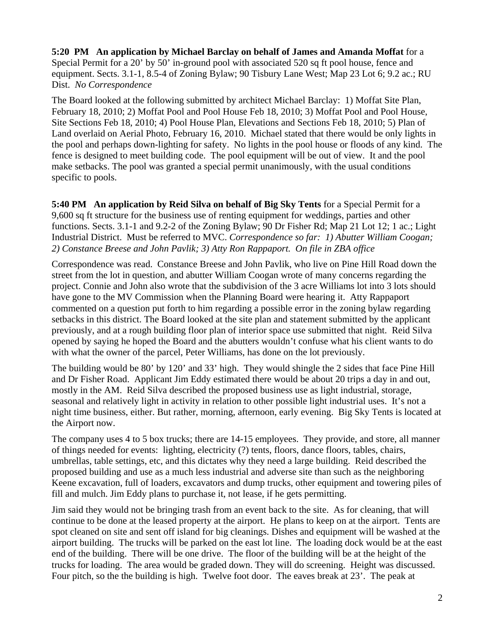**5:20 PM An application by Michael Barclay on behalf of James and Amanda Moffat** for a Special Permit for a 20' by 50' in-ground pool with associated 520 sq ft pool house, fence and equipment. Sects. 3.1-1, 8.5-4 of Zoning Bylaw; 90 Tisbury Lane West; Map 23 Lot 6; 9.2 ac.; RU Dist. *No Correspondence* 

The Board looked at the following submitted by architect Michael Barclay: 1) Moffat Site Plan, February 18, 2010; 2) Moffat Pool and Pool House Feb 18, 2010; 3) Moffat Pool and Pool House, Site Sections Feb 18, 2010; 4) Pool House Plan, Elevations and Sections Feb 18, 2010; 5) Plan of Land overlaid on Aerial Photo, February 16, 2010. Michael stated that there would be only lights in the pool and perhaps down-lighting for safety. No lights in the pool house or floods of any kind. The fence is designed to meet building code. The pool equipment will be out of view. It and the pool make setbacks. The pool was granted a special permit unanimously, with the usual conditions specific to pools.

**5:40 PM An application by Reid Silva on behalf of Big Sky Tents** for a Special Permit for a 9,600 sq ft structure for the business use of renting equipment for weddings, parties and other functions. Sects. 3.1-1 and 9.2-2 of the Zoning Bylaw; 90 Dr Fisher Rd; Map 21 Lot 12; 1 ac.; Light Industrial District. Must be referred to MVC. *Correspondence so far: 1) Abutter William Coogan; 2) Constance Breese and John Pavlik; 3) Atty Ron Rappaport. On file in ZBA office* 

Correspondence was read. Constance Breese and John Pavlik, who live on Pine Hill Road down the street from the lot in question, and abutter William Coogan wrote of many concerns regarding the project. Connie and John also wrote that the subdivision of the 3 acre Williams lot into 3 lots should have gone to the MV Commission when the Planning Board were hearing it. Atty Rappaport commented on a question put forth to him regarding a possible error in the zoning bylaw regarding setbacks in this district. The Board looked at the site plan and statement submitted by the applicant previously, and at a rough building floor plan of interior space use submitted that night. Reid Silva opened by saying he hoped the Board and the abutters wouldn't confuse what his client wants to do with what the owner of the parcel, Peter Williams, has done on the lot previously.

The building would be 80' by 120' and 33' high. They would shingle the 2 sides that face Pine Hill and Dr Fisher Road. Applicant Jim Eddy estimated there would be about 20 trips a day in and out, mostly in the AM. Reid Silva described the proposed business use as light industrial, storage, seasonal and relatively light in activity in relation to other possible light industrial uses. It's not a night time business, either. But rather, morning, afternoon, early evening. Big Sky Tents is located at the Airport now.

The company uses 4 to 5 box trucks; there are 14-15 employees. They provide, and store, all manner of things needed for events: lighting, electricity (?) tents, floors, dance floors, tables, chairs, umbrellas, table settings, etc, and this dictates why they need a large building. Reid described the proposed building and use as a much less industrial and adverse site than such as the neighboring Keene excavation, full of loaders, excavators and dump trucks, other equipment and towering piles of fill and mulch. Jim Eddy plans to purchase it, not lease, if he gets permitting.

Jim said they would not be bringing trash from an event back to the site. As for cleaning, that will continue to be done at the leased property at the airport. He plans to keep on at the airport. Tents are spot cleaned on site and sent off island for big cleanings. Dishes and equipment will be washed at the airport building. The trucks will be parked on the east lot line. The loading dock would be at the east end of the building. There will be one drive. The floor of the building will be at the height of the trucks for loading. The area would be graded down. They will do screening. Height was discussed. Four pitch, so the the building is high. Twelve foot door. The eaves break at 23'. The peak at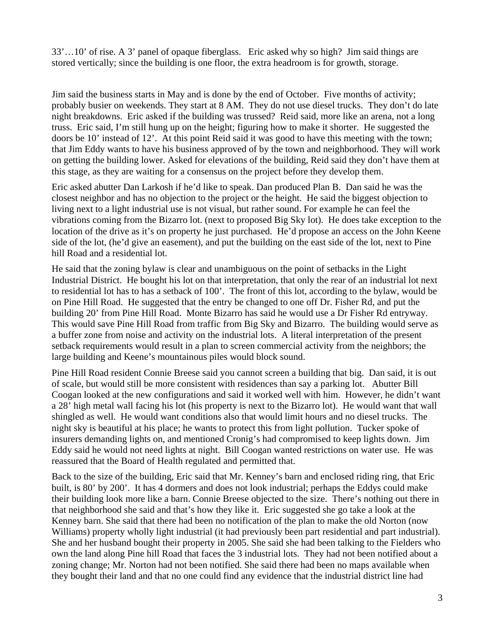33'…10' of rise. A 3' panel of opaque fiberglass. Eric asked why so high? Jim said things are stored vertically; since the building is one floor, the extra headroom is for growth, storage.

Jim said the business starts in May and is done by the end of October. Five months of activity; probably busier on weekends. They start at 8 AM. They do not use diesel trucks. They don't do late night breakdowns. Eric asked if the building was trussed? Reid said, more like an arena, not a long truss. Eric said, I'm still hung up on the height; figuring how to make it shorter. He suggested the doors be 10' instead of 12'. At this point Reid said it was good to have this meeting with the town; that Jim Eddy wants to have his business approved of by the town and neighborhood. They will work on getting the building lower. Asked for elevations of the building, Reid said they don't have them at this stage, as they are waiting for a consensus on the project before they develop them.

Eric asked abutter Dan Larkosh if he'd like to speak. Dan produced Plan B. Dan said he was the closest neighbor and has no objection to the project or the height. He said the biggest objection to living next to a light industrial use is not visual, but rather sound. For example he can feel the vibrations coming from the Bizarro lot. (next to proposed Big Sky lot). He does take exception to the location of the drive as it's on property he just purchased. He'd propose an access on the John Keene side of the lot, (he'd give an easement), and put the building on the east side of the lot, next to Pine hill Road and a residential lot.

He said that the zoning bylaw is clear and unambiguous on the point of setbacks in the Light Industrial District. He bought his lot on that interpretation, that only the rear of an industrial lot next to residential lot has to has a setback of 100'. The front of this lot, according to the bylaw, would be on Pine Hill Road. He suggested that the entry be changed to one off Dr. Fisher Rd, and put the building 20' from Pine Hill Road. Monte Bizarro has said he would use a Dr Fisher Rd entryway. This would save Pine Hill Road from traffic from Big Sky and Bizarro. The building would serve as a buffer zone from noise and activity on the industrial lots. A literal interpretation of the present setback requirements would result in a plan to screen commercial activity from the neighbors; the large building and Keene's mountainous piles would block sound.

Pine Hill Road resident Connie Breese said you cannot screen a building that big. Dan said, it is out of scale, but would still be more consistent with residences than say a parking lot. Abutter Bill Coogan looked at the new configurations and said it worked well with him. However, he didn't want a 28' high metal wall facing his lot (his property is next to the Bizarro lot). He would want that wall shingled as well. He would want conditions also that would limit hours and no diesel trucks. The night sky is beautiful at his place; he wants to protect this from light pollution. Tucker spoke of insurers demanding lights on, and mentioned Cronig's had compromised to keep lights down. Jim Eddy said he would not need lights at night. Bill Coogan wanted restrictions on water use. He was reassured that the Board of Health regulated and permitted that.

Back to the size of the building, Eric said that Mr. Kenney's barn and enclosed riding ring, that Eric built, is 80' by 200'. It has 4 dormers and does not look industrial; perhaps the Eddys could make their building look more like a barn. Connie Breese objected to the size. There's nothing out there in that neighborhood she said and that's how they like it. Eric suggested she go take a look at the Kenney barn. She said that there had been no notification of the plan to make the old Norton (now Williams) property wholly light industrial (it had previously been part residential and part industrial). She and her husband bought their property in 2005. She said she had been talking to the Fielders who own the land along Pine hill Road that faces the 3 industrial lots. They had not been notified about a zoning change; Mr. Norton had not been notified. She said there had been no maps available when they bought their land and that no one could find any evidence that the industrial district line had